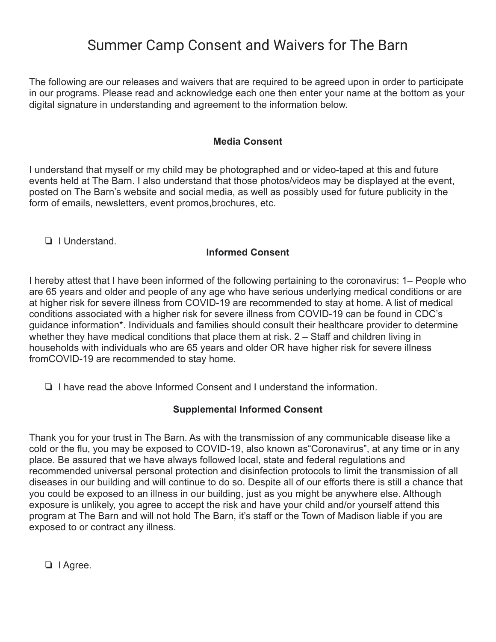# Summer Camp Consent and Waivers for The Barn

The following are our releases and waivers that are required to be agreed upon in order to participate in our programs. Please read and acknowledge each one then enter your name at the bottom as your digital signature in understanding and agreement to the information below.

### **Media Consent**

I understand that myself or my child may be photographed and or video-taped at this and future events held at The Barn. I also understand that those photos/videos may be displayed at the event, posted on The Barn's website and social media, as well as possibly used for future publicity in the form of emails, newsletters, event promos,brochures, etc.

❏ I Understand.

#### **Informed Consent**

I hereby attest that I have been informed of the following pertaining to the coronavirus: 1– People who are 65 years and older and people of any age who have serious underlying medical conditions or are at higher risk for severe illness from COVID-19 are recommended to stay at home. A list of medical conditions associated with a higher risk for severe illness from COVID-19 can be found in CDC's guidance information\*. Individuals and families should consult their healthcare provider to determine whether they have medical conditions that place them at risk. 2 – Staff and children living in households with individuals who are 65 years and older OR have higher risk for severe illness fromCOVID-19 are recommended to stay home.

❏ I have read the above Informed Consent and I understand the information.

## **Supplemental Informed Consent**

Thank you for your trust in The Barn. As with the transmission of any communicable disease like a cold or the flu, you may be exposed to COVID-19, also known as"Coronavirus", at any time or in any place. Be assured that we have always followed local, state and federal regulations and recommended universal personal protection and disinfection protocols to limit the transmission of all diseases in our building and will continue to do so. Despite all of our efforts there is still a chance that you could be exposed to an illness in our building, just as you might be anywhere else. Although exposure is unlikely, you agree to accept the risk and have your child and/or yourself attend this program at The Barn and will not hold The Barn, it's staff or the Town of Madison liable if you are exposed to or contract any illness.

❏ I Agree.